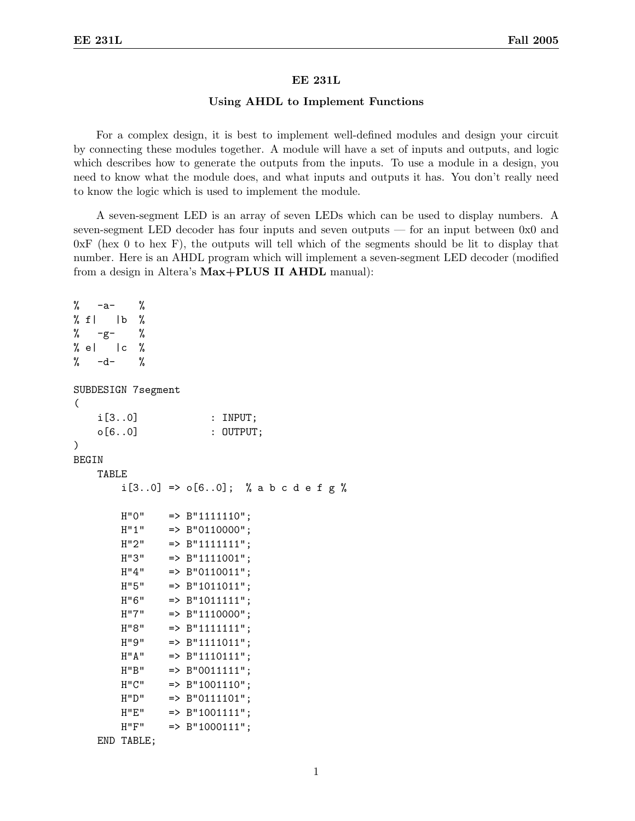## EE 231L

## Using AHDL to Implement Functions

For a complex design, it is best to implement well-defined modules and design your circuit by connecting these modules together. A module will have a set of inputs and outputs, and logic which describes how to generate the outputs from the inputs. To use a module in a design, you need to know what the module does, and what inputs and outputs it has. You don't really need to know the logic which is used to implement the module.

A seven-segment LED is an array of seven LEDs which can be used to display numbers. A seven-segment LED decoder has four inputs and seven outputs — for an input between 0x0 and  $0xF$  (hex 0 to hex F), the outputs will tell which of the segments should be lit to display that number. Here is an AHDL program which will implement a seven-segment LED decoder (modified from a design in Altera's Max+PLUS II AHDL manual):

```
\% -a- \%\% f| |b \%\% -g- \%% e| |c \rangle% -d- %
SUBDESIGN 7segment
(
    i[3..0] : INPUT;
    o[6..0] : OUTPUT;
)
BEGIN
    TABLE
        i[3..0] => o[6..0]; % a b c d e f g %
       H''0'' => B''11111110'';
        H''1'' => B''0110000'';
        H''2'' => B''1111111'';
        H''3'' => B''1111001'';
       H''4'' => B''0110011'';
       H''5'' => B''1011011'';
       H''6'' => B''1011111'';
        H''7'' => B''1110000'';
        H''8'' => B''1111111'';
        H''9'' => B''1111011'';
        H''A'' => B''1110111'';
        H''B'' => B''0011111'';
        H''C'' => B''1001110'';
       H"D" => B"0111101";
       H''E'' => B''1001111';
        H''F'' => B''1000111'';
    END TABLE;
```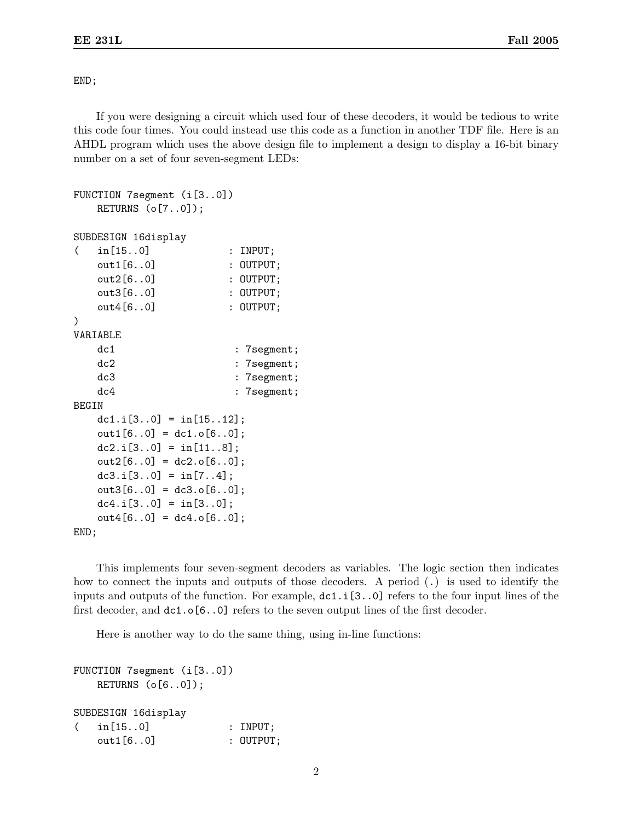END;

If you were designing a circuit which used four of these decoders, it would be tedious to write this code four times. You could instead use this code as a function in another TDF file. Here is an AHDL program which uses the above design file to implement a design to display a 16-bit binary number on a set of four seven-segment LEDs:

```
FUNCTION 7segment (i[3..0])
   RETURNS (o[7..0]);
SUBDESIGN 16display
( in[15..0] : INPUT;
   out1[6..0] : OUTPUT;
   out2[6..0] : OUTPUT;
   out3[6..0] : 0UTPUT;
   out4[6..0] : OUTPUT;
)
VARIABLE
   dc1 : 7segment;
   dc2 : 7segment;
   dc3 : 7segment;
   dc4 : 7segment;
BEGIN
   dc1.i[3..0] = \text{in}[15..12];
   out1[6..0] = dc1.o[6..0];dc2.i[3.0] = \text{in}[11.8];
   out2[6..0] = dc2.o[6..0];dc3.i[3.0] = \text{in}[7..4];
   out3[6..0] = dc3.o[6..0];dc4.i[3.0] = \text{in}[3.0];
   out4[6..0] = dc4.0[6..0];END;
```
This implements four seven-segment decoders as variables. The logic section then indicates how to connect the inputs and outputs of those decoders. A period (.) is used to identify the inputs and outputs of the function. For example, dc1.i[3..0] refers to the four input lines of the first decoder, and dc1.o[6..0] refers to the seven output lines of the first decoder.

Here is another way to do the same thing, using in-line functions:

```
FUNCTION 7segment (i[3..0])
   RETURNS (o[6..0]);
SUBDESIGN 16display
( in[15..0] : INPUT;
   out1[6..0] : 0UTPUT;
```